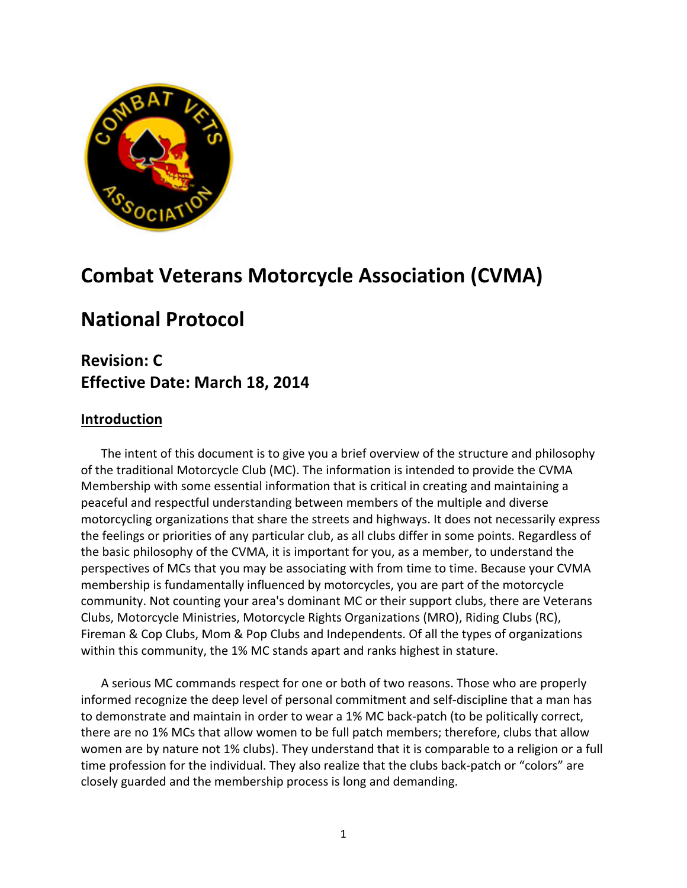

# **Combat Veterans Motorcycle Association (CVMA)**

## **National Protocol**

## **Revision: C Effective Date: March 18, 2014**

#### **Introduction**

The intent of this document is to give you a brief overview of the structure and philosophy of the traditional Motorcycle Club (MC). The information is intended to provide the CVMA Membership with some essential information that is critical in creating and maintaining a peaceful and respectful understanding between members of the multiple and diverse motorcycling organizations that share the streets and highways. It does not necessarily express the feelings or priorities of any particular club, as all clubs differ in some points. Regardless of the basic philosophy of the CVMA, it is important for you, as a member, to understand the perspectives of MCs that you may be associating with from time to time. Because your CVMA membership is fundamentally influenced by motorcycles, you are part of the motorcycle community. Not counting your area's dominant MC or their support clubs, there are Veterans Clubs, Motorcycle Ministries, Motorcycle Rights Organizations (MRO), Riding Clubs (RC), Fireman & Cop Clubs, Mom & Pop Clubs and Independents. Of all the types of organizations within this community, the 1% MC stands apart and ranks highest in stature.

A serious MC commands respect for one or both of two reasons. Those who are properly informed recognize the deep level of personal commitment and self-discipline that a man has to demonstrate and maintain in order to wear a 1% MC back-patch (to be politically correct, there are no 1% MCs that allow women to be full patch members; therefore, clubs that allow women are by nature not 1% clubs). They understand that it is comparable to a religion or a full time profession for the individual. They also realize that the clubs back-patch or "colors" are closely guarded and the membership process is long and demanding.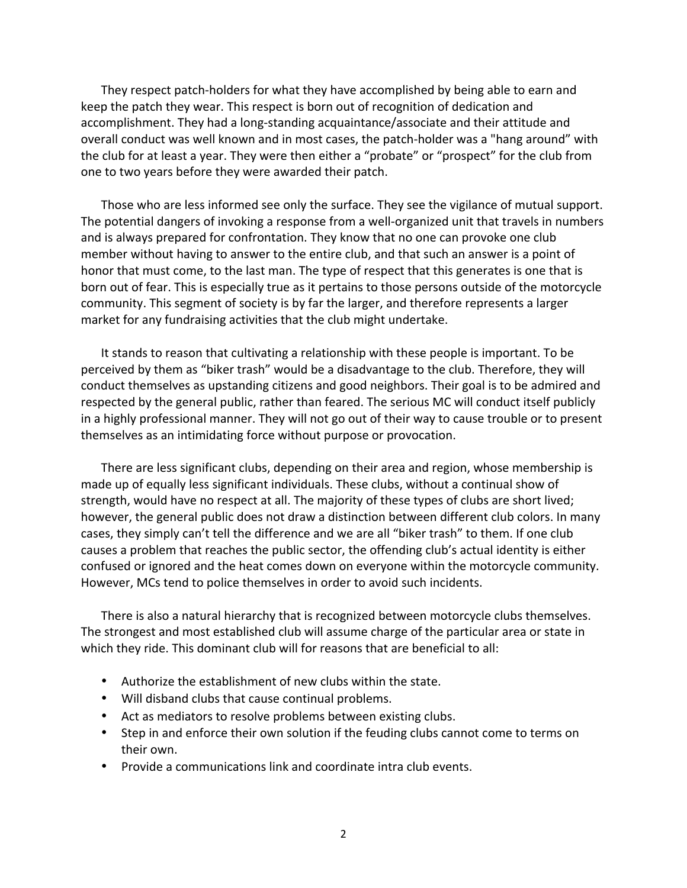They respect patch-holders for what they have accomplished by being able to earn and keep the patch they wear. This respect is born out of recognition of dedication and accomplishment. They had a long-standing acquaintance/associate and their attitude and overall conduct was well known and in most cases, the patch-holder was a "hang around" with the club for at least a year. They were then either a "probate" or "prospect" for the club from one to two years before they were awarded their patch.

Those who are less informed see only the surface. They see the vigilance of mutual support. The potential dangers of invoking a response from a well-organized unit that travels in numbers and is always prepared for confrontation. They know that no one can provoke one club member without having to answer to the entire club, and that such an answer is a point of honor that must come, to the last man. The type of respect that this generates is one that is born out of fear. This is especially true as it pertains to those persons outside of the motorcycle community. This segment of society is by far the larger, and therefore represents a larger market for any fundraising activities that the club might undertake.

It stands to reason that cultivating a relationship with these people is important. To be perceived by them as "biker trash" would be a disadvantage to the club. Therefore, they will conduct themselves as upstanding citizens and good neighbors. Their goal is to be admired and respected by the general public, rather than feared. The serious MC will conduct itself publicly in a highly professional manner. They will not go out of their way to cause trouble or to present themselves as an intimidating force without purpose or provocation.

There are less significant clubs, depending on their area and region, whose membership is made up of equally less significant individuals. These clubs, without a continual show of strength, would have no respect at all. The majority of these types of clubs are short lived; however, the general public does not draw a distinction between different club colors. In many cases, they simply can't tell the difference and we are all "biker trash" to them. If one club causes a problem that reaches the public sector, the offending club's actual identity is either confused or ignored and the heat comes down on everyone within the motorcycle community. However, MCs tend to police themselves in order to avoid such incidents.

There is also a natural hierarchy that is recognized between motorcycle clubs themselves. The strongest and most established club will assume charge of the particular area or state in which they ride. This dominant club will for reasons that are beneficial to all:

- Authorize the establishment of new clubs within the state.
- Will disband clubs that cause continual problems.
- Act as mediators to resolve problems between existing clubs.
- Step in and enforce their own solution if the feuding clubs cannot come to terms on their own.
- Provide a communications link and coordinate intra club events.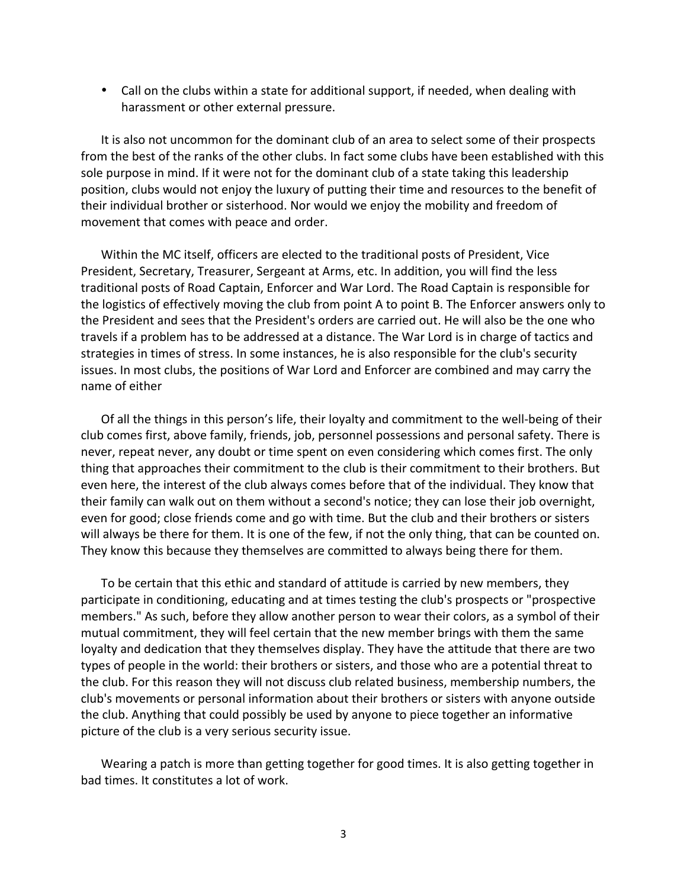• Call on the clubs within a state for additional support, if needed, when dealing with harassment or other external pressure.

It is also not uncommon for the dominant club of an area to select some of their prospects from the best of the ranks of the other clubs. In fact some clubs have been established with this sole purpose in mind. If it were not for the dominant club of a state taking this leadership position, clubs would not enjoy the luxury of putting their time and resources to the benefit of their individual brother or sisterhood. Nor would we enjoy the mobility and freedom of movement that comes with peace and order.

Within the MC itself, officers are elected to the traditional posts of President, Vice President, Secretary, Treasurer, Sergeant at Arms, etc. In addition, you will find the less traditional posts of Road Captain, Enforcer and War Lord. The Road Captain is responsible for the logistics of effectively moving the club from point A to point B. The Enforcer answers only to the President and sees that the President's orders are carried out. He will also be the one who travels if a problem has to be addressed at a distance. The War Lord is in charge of tactics and strategies in times of stress. In some instances, he is also responsible for the club's security issues. In most clubs, the positions of War Lord and Enforcer are combined and may carry the name of either

Of all the things in this person's life, their loyalty and commitment to the well-being of their club comes first, above family, friends, job, personnel possessions and personal safety. There is never, repeat never, any doubt or time spent on even considering which comes first. The only thing that approaches their commitment to the club is their commitment to their brothers. But even here, the interest of the club always comes before that of the individual. They know that their family can walk out on them without a second's notice; they can lose their job overnight, even for good; close friends come and go with time. But the club and their brothers or sisters will always be there for them. It is one of the few, if not the only thing, that can be counted on. They know this because they themselves are committed to always being there for them.

To be certain that this ethic and standard of attitude is carried by new members, they participate in conditioning, educating and at times testing the club's prospects or "prospective members." As such, before they allow another person to wear their colors, as a symbol of their mutual commitment, they will feel certain that the new member brings with them the same loyalty and dedication that they themselves display. They have the attitude that there are two types of people in the world: their brothers or sisters, and those who are a potential threat to the club. For this reason they will not discuss club related business, membership numbers, the club's movements or personal information about their brothers or sisters with anyone outside the club. Anything that could possibly be used by anyone to piece together an informative picture of the club is a very serious security issue.

Wearing a patch is more than getting together for good times. It is also getting together in bad times. It constitutes a lot of work.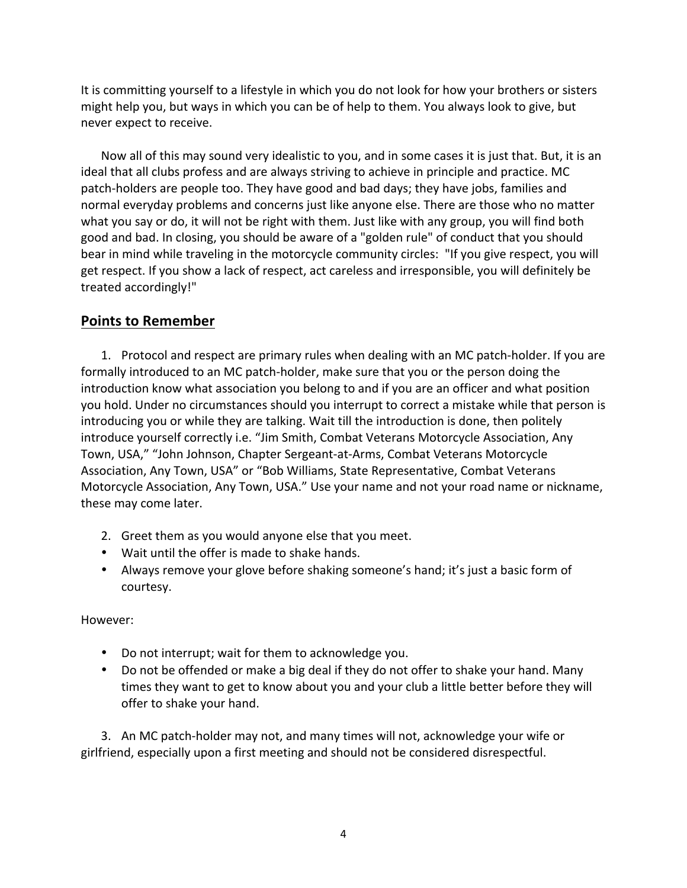It is committing yourself to a lifestyle in which you do not look for how your brothers or sisters might help you, but ways in which you can be of help to them. You always look to give, but never expect to receive.

Now all of this may sound very idealistic to you, and in some cases it is just that. But, it is an ideal that all clubs profess and are always striving to achieve in principle and practice. MC patch-holders are people too. They have good and bad days; they have jobs, families and normal everyday problems and concerns just like anyone else. There are those who no matter what you say or do, it will not be right with them. Just like with any group, you will find both good and bad. In closing, you should be aware of a "golden rule" of conduct that you should bear in mind while traveling in the motorcycle community circles: "If you give respect, you will get respect. If you show a lack of respect, act careless and irresponsible, you will definitely be treated accordingly!"

#### **Points to Remember**

1. Protocol and respect are primary rules when dealing with an MC patch-holder. If you are formally introduced to an MC patch-holder, make sure that you or the person doing the introduction know what association you belong to and if you are an officer and what position you hold. Under no circumstances should you interrupt to correct a mistake while that person is introducing you or while they are talking. Wait till the introduction is done, then politely introduce yourself correctly i.e. "Jim Smith, Combat Veterans Motorcycle Association, Any Town, USA," "John Johnson, Chapter Sergeant-at-Arms, Combat Veterans Motorcycle Association, Any Town, USA" or "Bob Williams, State Representative, Combat Veterans Motorcycle Association, Any Town, USA." Use your name and not your road name or nickname, these may come later.

- 2. Greet them as you would anyone else that you meet.
- Wait until the offer is made to shake hands.
- Always remove your glove before shaking someone's hand; it's just a basic form of courtesy.

However:

- Do not interrupt; wait for them to acknowledge you.
- Do not be offended or make a big deal if they do not offer to shake your hand. Many times they want to get to know about you and your club a little better before they will offer to shake your hand.

3. An MC patch-holder may not, and many times will not, acknowledge your wife or girlfriend, especially upon a first meeting and should not be considered disrespectful.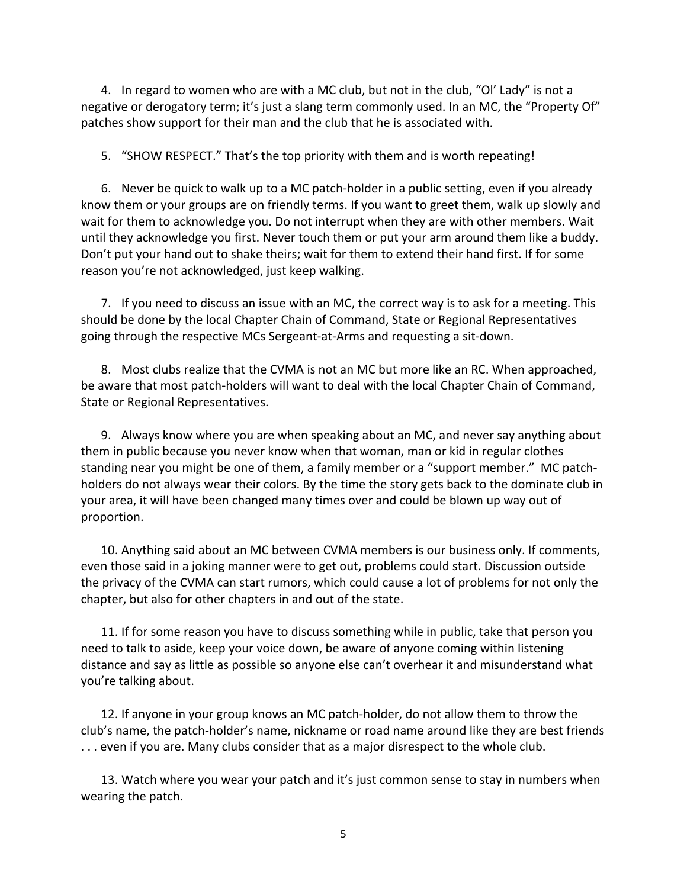4. In regard to women who are with a MC club, but not in the club, "Ol' Lady" is not a negative or derogatory term; it's just a slang term commonly used. In an MC, the "Property Of" patches show support for their man and the club that he is associated with.

5. "SHOW RESPECT." That's the top priority with them and is worth repeating!

6. Never be quick to walk up to a MC patch-holder in a public setting, even if you already know them or your groups are on friendly terms. If you want to greet them, walk up slowly and wait for them to acknowledge you. Do not interrupt when they are with other members. Wait until they acknowledge you first. Never touch them or put your arm around them like a buddy. Don't put your hand out to shake theirs; wait for them to extend their hand first. If for some reason you're not acknowledged, just keep walking.

7. If you need to discuss an issue with an MC, the correct way is to ask for a meeting. This should be done by the local Chapter Chain of Command, State or Regional Representatives going through the respective MCs Sergeant-at-Arms and requesting a sit-down.

8. Most clubs realize that the CVMA is not an MC but more like an RC. When approached, be aware that most patch-holders will want to deal with the local Chapter Chain of Command, State or Regional Representatives.

9. Always know where you are when speaking about an MC, and never say anything about them in public because you never know when that woman, man or kid in regular clothes standing near you might be one of them, a family member or a "support member." MC patchholders do not always wear their colors. By the time the story gets back to the dominate club in your area, it will have been changed many times over and could be blown up way out of proportion.

10. Anything said about an MC between CVMA members is our business only. If comments, even those said in a joking manner were to get out, problems could start. Discussion outside the privacy of the CVMA can start rumors, which could cause a lot of problems for not only the chapter, but also for other chapters in and out of the state.

11. If for some reason you have to discuss something while in public, take that person you need to talk to aside, keep your voice down, be aware of anyone coming within listening distance and say as little as possible so anyone else can't overhear it and misunderstand what you're talking about.

12. If anyone in your group knows an MC patch-holder, do not allow them to throw the club's name, the patch-holder's name, nickname or road name around like they are best friends ... even if you are. Many clubs consider that as a major disrespect to the whole club.

13. Watch where you wear your patch and it's just common sense to stay in numbers when wearing the patch.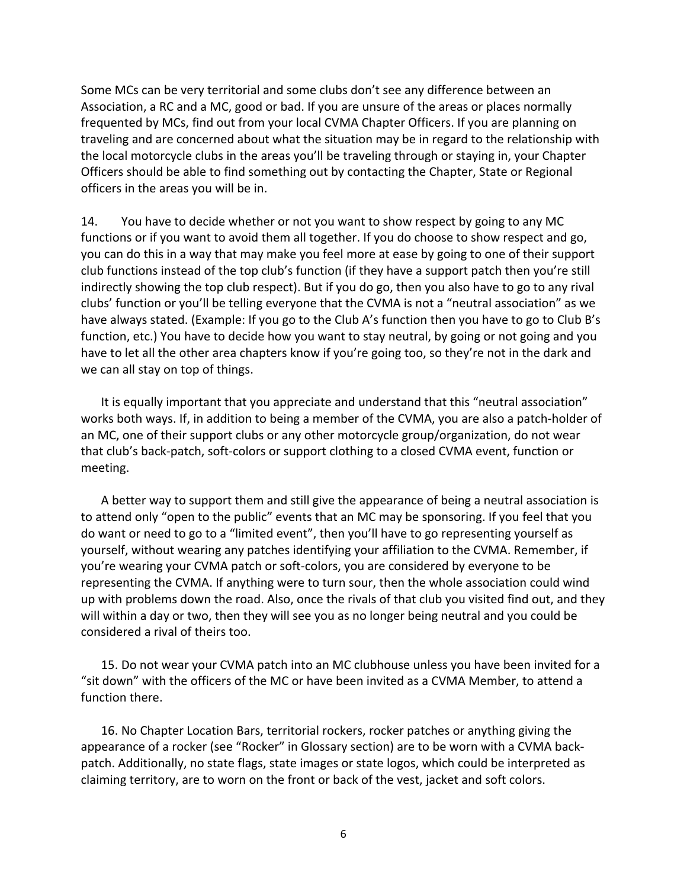Some MCs can be very territorial and some clubs don't see any difference between an Association, a RC and a MC, good or bad. If you are unsure of the areas or places normally frequented by MCs, find out from your local CVMA Chapter Officers. If you are planning on traveling and are concerned about what the situation may be in regard to the relationship with the local motorcycle clubs in the areas you'll be traveling through or staying in, your Chapter Officers should be able to find something out by contacting the Chapter, State or Regional officers in the areas you will be in.

14. You have to decide whether or not you want to show respect by going to any MC functions or if you want to avoid them all together. If you do choose to show respect and go, you can do this in a way that may make you feel more at ease by going to one of their support club functions instead of the top club's function (if they have a support patch then you're still indirectly showing the top club respect). But if you do go, then you also have to go to any rival clubs' function or you'll be telling everyone that the CVMA is not a "neutral association" as we have always stated. (Example: If you go to the Club A's function then you have to go to Club B's function, etc.) You have to decide how you want to stay neutral, by going or not going and you have to let all the other area chapters know if you're going too, so they're not in the dark and we can all stay on top of things.

It is equally important that you appreciate and understand that this "neutral association" works both ways. If, in addition to being a member of the CVMA, you are also a patch-holder of an MC, one of their support clubs or any other motorcycle group/organization, do not wear that club's back-patch, soft-colors or support clothing to a closed CVMA event, function or meeting. 

A better way to support them and still give the appearance of being a neutral association is to attend only "open to the public" events that an MC may be sponsoring. If you feel that you do want or need to go to a "limited event", then you'll have to go representing yourself as yourself, without wearing any patches identifying your affiliation to the CVMA. Remember, if you're wearing your CVMA patch or soft-colors, you are considered by everyone to be representing the CVMA. If anything were to turn sour, then the whole association could wind up with problems down the road. Also, once the rivals of that club you visited find out, and they will within a day or two, then they will see you as no longer being neutral and you could be considered a rival of theirs too.

15. Do not wear your CVMA patch into an MC clubhouse unless you have been invited for a "sit down" with the officers of the MC or have been invited as a CVMA Member, to attend a function there.

16. No Chapter Location Bars, territorial rockers, rocker patches or anything giving the appearance of a rocker (see "Rocker" in Glossary section) are to be worn with a CVMA backpatch. Additionally, no state flags, state images or state logos, which could be interpreted as claiming territory, are to worn on the front or back of the vest, jacket and soft colors.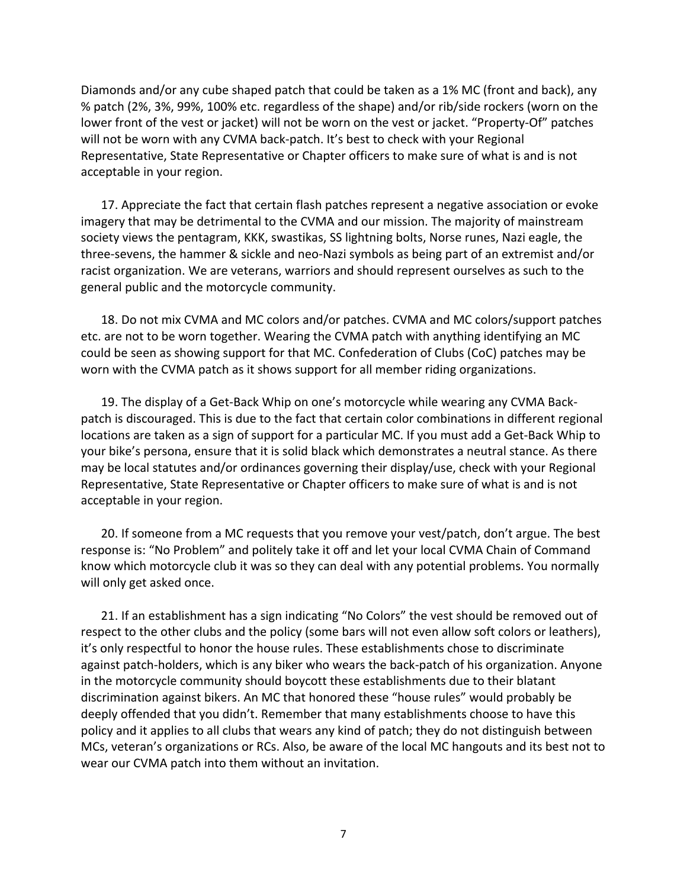Diamonds and/or any cube shaped patch that could be taken as a 1% MC (front and back), any % patch (2%, 3%, 99%, 100% etc. regardless of the shape) and/or rib/side rockers (worn on the lower front of the vest or jacket) will not be worn on the vest or jacket. "Property-Of" patches will not be worn with any CVMA back-patch. It's best to check with your Regional Representative, State Representative or Chapter officers to make sure of what is and is not acceptable in your region.

17. Appreciate the fact that certain flash patches represent a negative association or evoke imagery that may be detrimental to the CVMA and our mission. The majority of mainstream society views the pentagram, KKK, swastikas, SS lightning bolts, Norse runes, Nazi eagle, the three-sevens, the hammer & sickle and neo-Nazi symbols as being part of an extremist and/or racist organization. We are veterans, warriors and should represent ourselves as such to the general public and the motorcycle community.

18. Do not mix CVMA and MC colors and/or patches. CVMA and MC colors/support patches etc. are not to be worn together. Wearing the CVMA patch with anything identifying an MC could be seen as showing support for that MC. Confederation of Clubs (CoC) patches may be worn with the CVMA patch as it shows support for all member riding organizations.

19. The display of a Get-Back Whip on one's motorcycle while wearing any CVMA Backpatch is discouraged. This is due to the fact that certain color combinations in different regional locations are taken as a sign of support for a particular MC. If you must add a Get-Back Whip to your bike's persona, ensure that it is solid black which demonstrates a neutral stance. As there may be local statutes and/or ordinances governing their display/use, check with your Regional Representative, State Representative or Chapter officers to make sure of what is and is not acceptable in your region.

20. If someone from a MC requests that you remove your vest/patch, don't argue. The best response is: "No Problem" and politely take it off and let your local CVMA Chain of Command know which motorcycle club it was so they can deal with any potential problems. You normally will only get asked once.

21. If an establishment has a sign indicating "No Colors" the vest should be removed out of respect to the other clubs and the policy (some bars will not even allow soft colors or leathers), it's only respectful to honor the house rules. These establishments chose to discriminate against patch-holders, which is any biker who wears the back-patch of his organization. Anyone in the motorcycle community should boycott these establishments due to their blatant discrimination against bikers. An MC that honored these "house rules" would probably be deeply offended that you didn't. Remember that many establishments choose to have this policy and it applies to all clubs that wears any kind of patch; they do not distinguish between MCs, veteran's organizations or RCs. Also, be aware of the local MC hangouts and its best not to wear our CVMA patch into them without an invitation.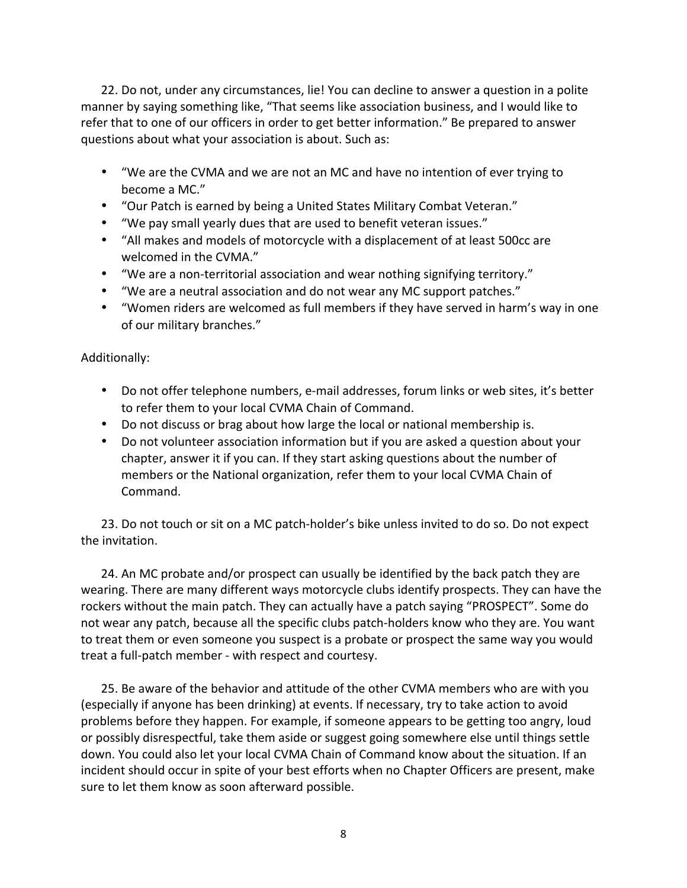22. Do not, under any circumstances, lie! You can decline to answer a question in a polite manner by saying something like, "That seems like association business, and I would like to refer that to one of our officers in order to get better information." Be prepared to answer questions about what your association is about. Such as:

- "We are the CVMA and we are not an MC and have no intention of ever trying to become a MC."
- "Our Patch is earned by being a United States Military Combat Veteran."
- "We pay small yearly dues that are used to benefit veteran issues."
- "All makes and models of motorcycle with a displacement of at least 500cc are welcomed in the CVMA."
- "We are a non-territorial association and wear nothing signifying territory."
- "We are a neutral association and do not wear any MC support patches."
- "Women riders are welcomed as full members if they have served in harm's way in one of our military branches."

#### Additionally:

- Do not offer telephone numbers, e-mail addresses, forum links or web sites, it's better to refer them to your local CVMA Chain of Command.
- Do not discuss or brag about how large the local or national membership is.
- Do not volunteer association information but if you are asked a question about your chapter, answer it if you can. If they start asking questions about the number of members or the National organization, refer them to your local CVMA Chain of Command.

23. Do not touch or sit on a MC patch-holder's bike unless invited to do so. Do not expect the invitation.

24. An MC probate and/or prospect can usually be identified by the back patch they are wearing. There are many different ways motorcycle clubs identify prospects. They can have the rockers without the main patch. They can actually have a patch saying "PROSPECT". Some do not wear any patch, because all the specific clubs patch-holders know who they are. You want to treat them or even someone you suspect is a probate or prospect the same way you would treat a full-patch member - with respect and courtesy.

25. Be aware of the behavior and attitude of the other CVMA members who are with you (especially if anyone has been drinking) at events. If necessary, try to take action to avoid problems before they happen. For example, if someone appears to be getting too angry, loud or possibly disrespectful, take them aside or suggest going somewhere else until things settle down. You could also let your local CVMA Chain of Command know about the situation. If an incident should occur in spite of your best efforts when no Chapter Officers are present, make sure to let them know as soon afterward possible.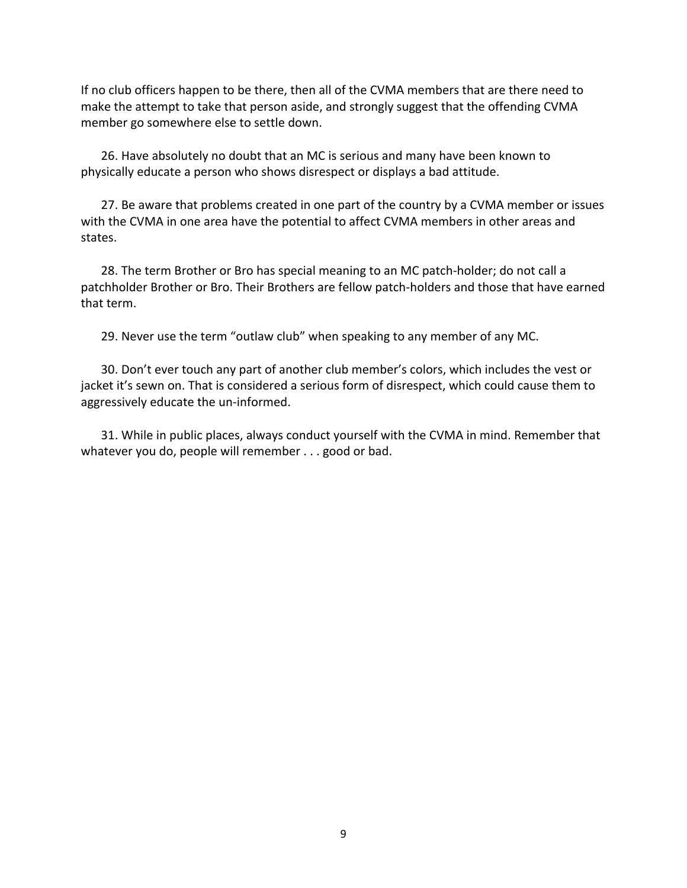If no club officers happen to be there, then all of the CVMA members that are there need to make the attempt to take that person aside, and strongly suggest that the offending CVMA member go somewhere else to settle down.

26. Have absolutely no doubt that an MC is serious and many have been known to physically educate a person who shows disrespect or displays a bad attitude.

27. Be aware that problems created in one part of the country by a CVMA member or issues with the CVMA in one area have the potential to affect CVMA members in other areas and states.

28. The term Brother or Bro has special meaning to an MC patch-holder; do not call a patchholder Brother or Bro. Their Brothers are fellow patch-holders and those that have earned that term.

29. Never use the term "outlaw club" when speaking to any member of any MC.

30. Don't ever touch any part of another club member's colors, which includes the vest or jacket it's sewn on. That is considered a serious form of disrespect, which could cause them to aggressively educate the un-informed.

31. While in public places, always conduct yourself with the CVMA in mind. Remember that whatever you do, people will remember  $\dots$  good or bad.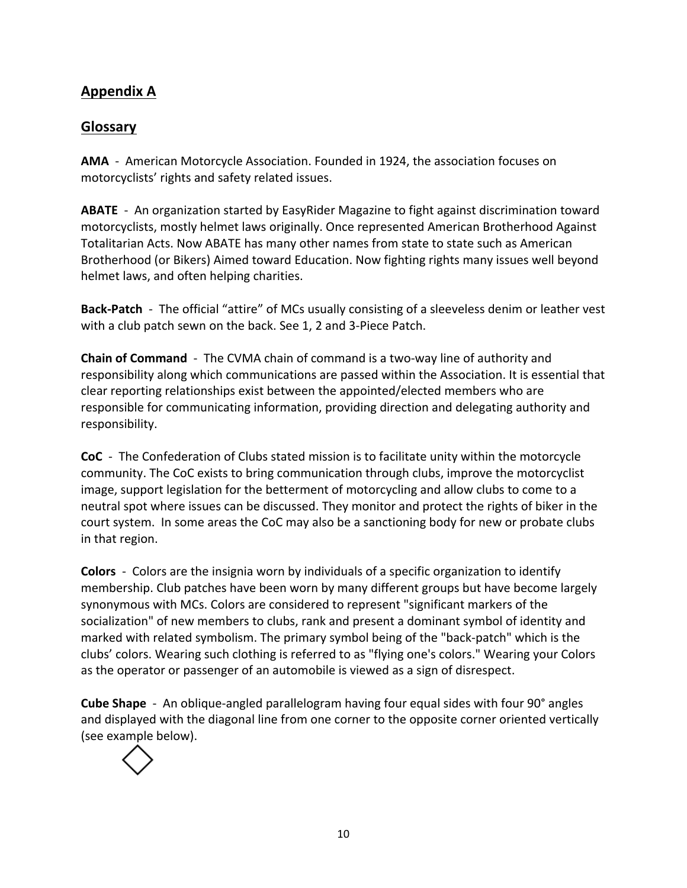### **Appendix A**

#### **Glossary**

**AMA** - American Motorcycle Association. Founded in 1924, the association focuses on motorcyclists' rights and safety related issues.

**ABATE** - An organization started by EasyRider Magazine to fight against discrimination toward motorcyclists, mostly helmet laws originally. Once represented American Brotherhood Against Totalitarian Acts. Now ABATE has many other names from state to state such as American Brotherhood (or Bikers) Aimed toward Education. Now fighting rights many issues well beyond helmet laws, and often helping charities.

**Back-Patch** - The official "attire" of MCs usually consisting of a sleeveless denim or leather vest with a club patch sewn on the back. See 1, 2 and 3-Piece Patch.

**Chain of Command** - The CVMA chain of command is a two-way line of authority and responsibility along which communications are passed within the Association. It is essential that clear reporting relationships exist between the appointed/elected members who are responsible for communicating information, providing direction and delegating authority and responsibility. 

**CoC** - The Confederation of Clubs stated mission is to facilitate unity within the motorcycle community. The CoC exists to bring communication through clubs, improve the motorcyclist image, support legislation for the betterment of motorcycling and allow clubs to come to a neutral spot where issues can be discussed. They monitor and protect the rights of biker in the court system. In some areas the CoC may also be a sanctioning body for new or probate clubs in that region.

**Colors** - Colors are the insignia worn by individuals of a specific organization to identify membership. Club patches have been worn by many different groups but have become largely synonymous with MCs. Colors are considered to represent "significant markers of the socialization" of new members to clubs, rank and present a dominant symbol of identity and marked with related symbolism. The primary symbol being of the "back-patch" which is the clubs' colors. Wearing such clothing is referred to as "flying one's colors." Wearing your Colors as the operator or passenger of an automobile is viewed as a sign of disrespect.

**Cube Shape** - An oblique-angled parallelogram having four equal sides with four 90° angles and displayed with the diagonal line from one corner to the opposite corner oriented vertically (see example below).

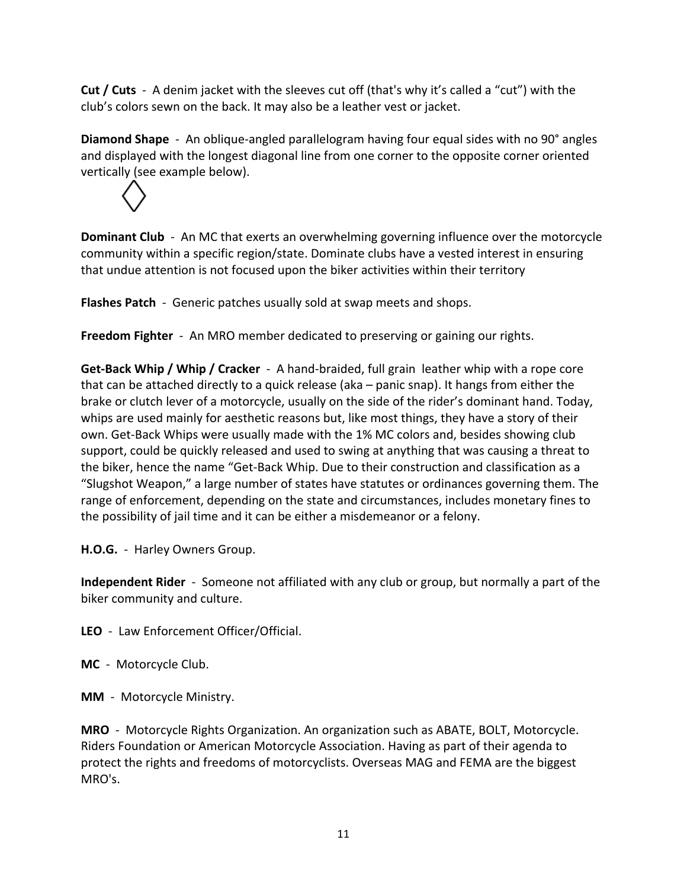**Cut** / Cuts - A denim jacket with the sleeves cut off (that's why it's called a "cut") with the club's colors sewn on the back. It may also be a leather vest or jacket.

**Diamond Shape** - An oblique-angled parallelogram having four equal sides with no 90° angles and displayed with the longest diagonal line from one corner to the opposite corner oriented vertically (see example below).

**Dominant Club** - An MC that exerts an overwhelming governing influence over the motorcycle community within a specific region/state. Dominate clubs have a vested interest in ensuring that undue attention is not focused upon the biker activities within their territory

**Flashes Patch** - Generic patches usually sold at swap meets and shops.

**Freedom Fighter** - An MRO member dedicated to preserving or gaining our rights.

**Get-Back Whip / Whip / Cracker** - A hand-braided, full grain leather whip with a rope core that can be attached directly to a quick release (aka – panic snap). It hangs from either the brake or clutch lever of a motorcycle, usually on the side of the rider's dominant hand. Today, whips are used mainly for aesthetic reasons but, like most things, they have a story of their own. Get-Back Whips were usually made with the 1% MC colors and, besides showing club support, could be quickly released and used to swing at anything that was causing a threat to the biker, hence the name "Get-Back Whip. Due to their construction and classification as a "Slugshot Weapon," a large number of states have statutes or ordinances governing them. The range of enforcement, depending on the state and circumstances, includes monetary fines to the possibility of jail time and it can be either a misdemeanor or a felony.

H.O.G. - Harley Owners Group.

**Independent Rider** - Someone not affiliated with any club or group, but normally a part of the biker community and culture.

LEO - Law Enforcement Officer/Official.

**MC** - Motorcycle Club.

**MM** - Motorcycle Ministry.

**MRO** - Motorcycle Rights Organization. An organization such as ABATE, BOLT, Motorcycle. Riders Foundation or American Motorcycle Association. Having as part of their agenda to protect the rights and freedoms of motorcyclists. Overseas MAG and FEMA are the biggest MRO's.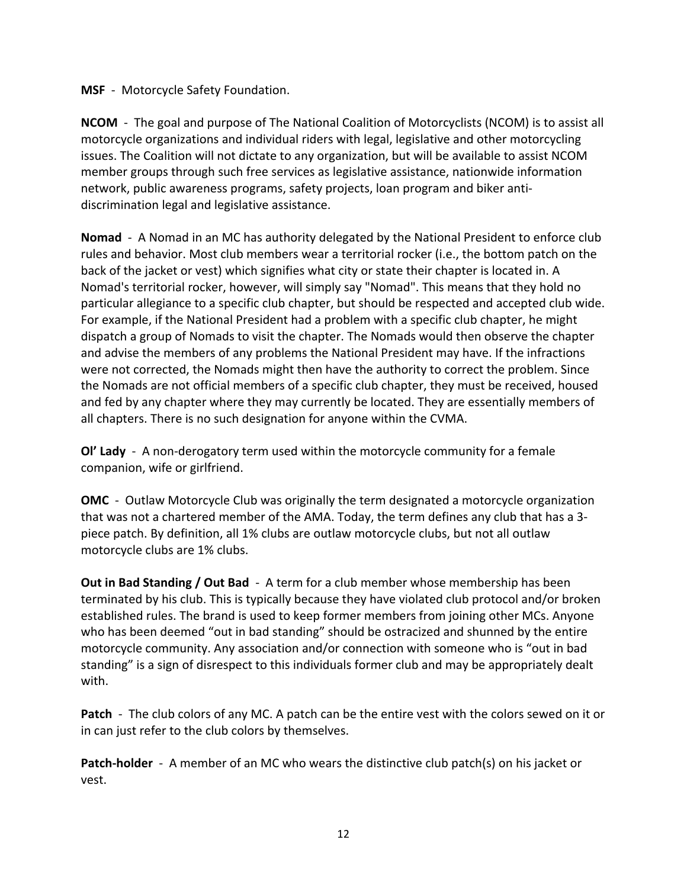**MSF** - Motorcycle Safety Foundation.

**NCOM** - The goal and purpose of The National Coalition of Motorcyclists (NCOM) is to assist all motorcycle organizations and individual riders with legal, legislative and other motorcycling issues. The Coalition will not dictate to any organization, but will be available to assist NCOM member groups through such free services as legislative assistance, nationwide information network, public awareness programs, safety projects, loan program and biker antidiscrimination legal and legislative assistance.

**Nomad** - A Nomad in an MC has authority delegated by the National President to enforce club rules and behavior. Most club members wear a territorial rocker (i.e., the bottom patch on the back of the jacket or vest) which signifies what city or state their chapter is located in. A Nomad's territorial rocker, however, will simply say "Nomad". This means that they hold no particular allegiance to a specific club chapter, but should be respected and accepted club wide. For example, if the National President had a problem with a specific club chapter, he might dispatch a group of Nomads to visit the chapter. The Nomads would then observe the chapter and advise the members of any problems the National President may have. If the infractions were not corrected, the Nomads might then have the authority to correct the problem. Since the Nomads are not official members of a specific club chapter, they must be received, housed and fed by any chapter where they may currently be located. They are essentially members of all chapters. There is no such designation for anyone within the CVMA.

**Ol' Lady** - A non-derogatory term used within the motorcycle community for a female companion, wife or girlfriend.

**OMC** - Outlaw Motorcycle Club was originally the term designated a motorcycle organization that was not a chartered member of the AMA. Today, the term defines any club that has a 3piece patch. By definition, all 1% clubs are outlaw motorcycle clubs, but not all outlaw motorcycle clubs are 1% clubs.

**Out in Bad Standing / Out Bad** - A term for a club member whose membership has been terminated by his club. This is typically because they have violated club protocol and/or broken established rules. The brand is used to keep former members from joining other MCs. Anyone who has been deemed "out in bad standing" should be ostracized and shunned by the entire motorcycle community. Any association and/or connection with someone who is "out in bad standing" is a sign of disrespect to this individuals former club and may be appropriately dealt with.

**Patch** - The club colors of any MC. A patch can be the entire vest with the colors sewed on it or in can just refer to the club colors by themselves.

**Patch-holder** - A member of an MC who wears the distinctive club patch(s) on his jacket or vest.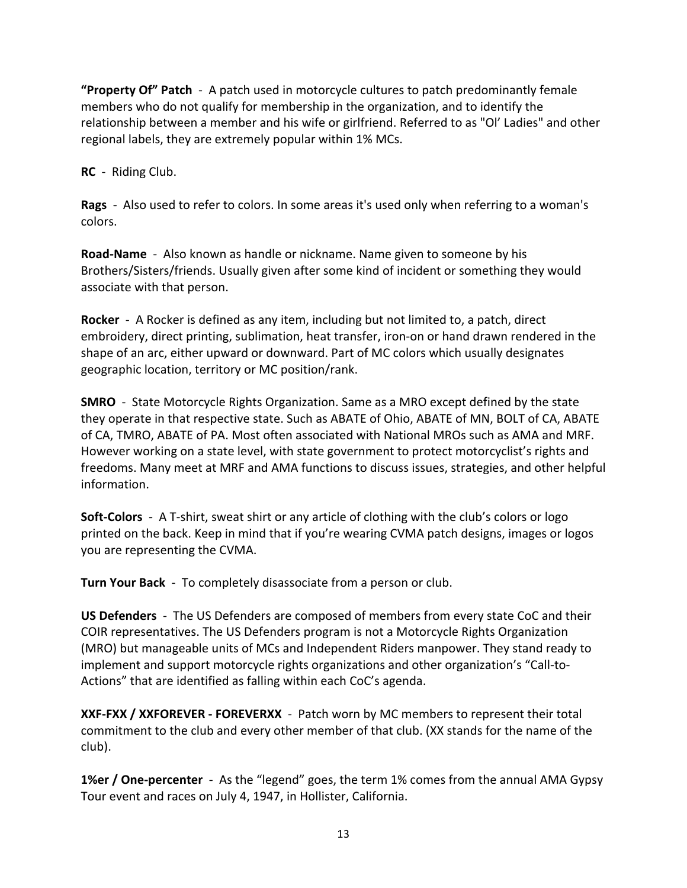**"Property Of" Patch** - A patch used in motorcycle cultures to patch predominantly female members who do not qualify for membership in the organization, and to identify the relationship between a member and his wife or girlfriend. Referred to as "Ol' Ladies" and other regional labels, they are extremely popular within 1% MCs.

**RC** - Riding Club.

**Rags** - Also used to refer to colors. In some areas it's used only when referring to a woman's colors.

**Road-Name** - Also known as handle or nickname. Name given to someone by his Brothers/Sisters/friends. Usually given after some kind of incident or something they would associate with that person.

**Rocker** - A Rocker is defined as any item, including but not limited to, a patch, direct embroidery, direct printing, sublimation, heat transfer, iron-on or hand drawn rendered in the shape of an arc, either upward or downward. Part of MC colors which usually designates geographic location, territory or MC position/rank.

**SMRO** - State Motorcycle Rights Organization. Same as a MRO except defined by the state they operate in that respective state. Such as ABATE of Ohio, ABATE of MN, BOLT of CA, ABATE of CA, TMRO, ABATE of PA. Most often associated with National MROs such as AMA and MRF. However working on a state level, with state government to protect motorcyclist's rights and freedoms. Many meet at MRF and AMA functions to discuss issues, strategies, and other helpful information.

**Soft-Colors** - A T-shirt, sweat shirt or any article of clothing with the club's colors or logo printed on the back. Keep in mind that if you're wearing CVMA patch designs, images or logos you are representing the CVMA.

**Turn Your Back** - To completely disassociate from a person or club.

**US Defenders** - The US Defenders are composed of members from every state CoC and their COIR representatives. The US Defenders program is not a Motorcycle Rights Organization (MRO) but manageable units of MCs and Independent Riders manpower. They stand ready to implement and support motorcycle rights organizations and other organization's "Call-to-Actions" that are identified as falling within each CoC's agenda.

**XXF-FXX / XXFOREVER - FOREVERXX** - Patch worn by MC members to represent their total commitment to the club and every other member of that club. (XX stands for the name of the club).

**1%er / One-percenter** - As the "legend" goes, the term 1% comes from the annual AMA Gypsy Tour event and races on July 4, 1947, in Hollister, California.